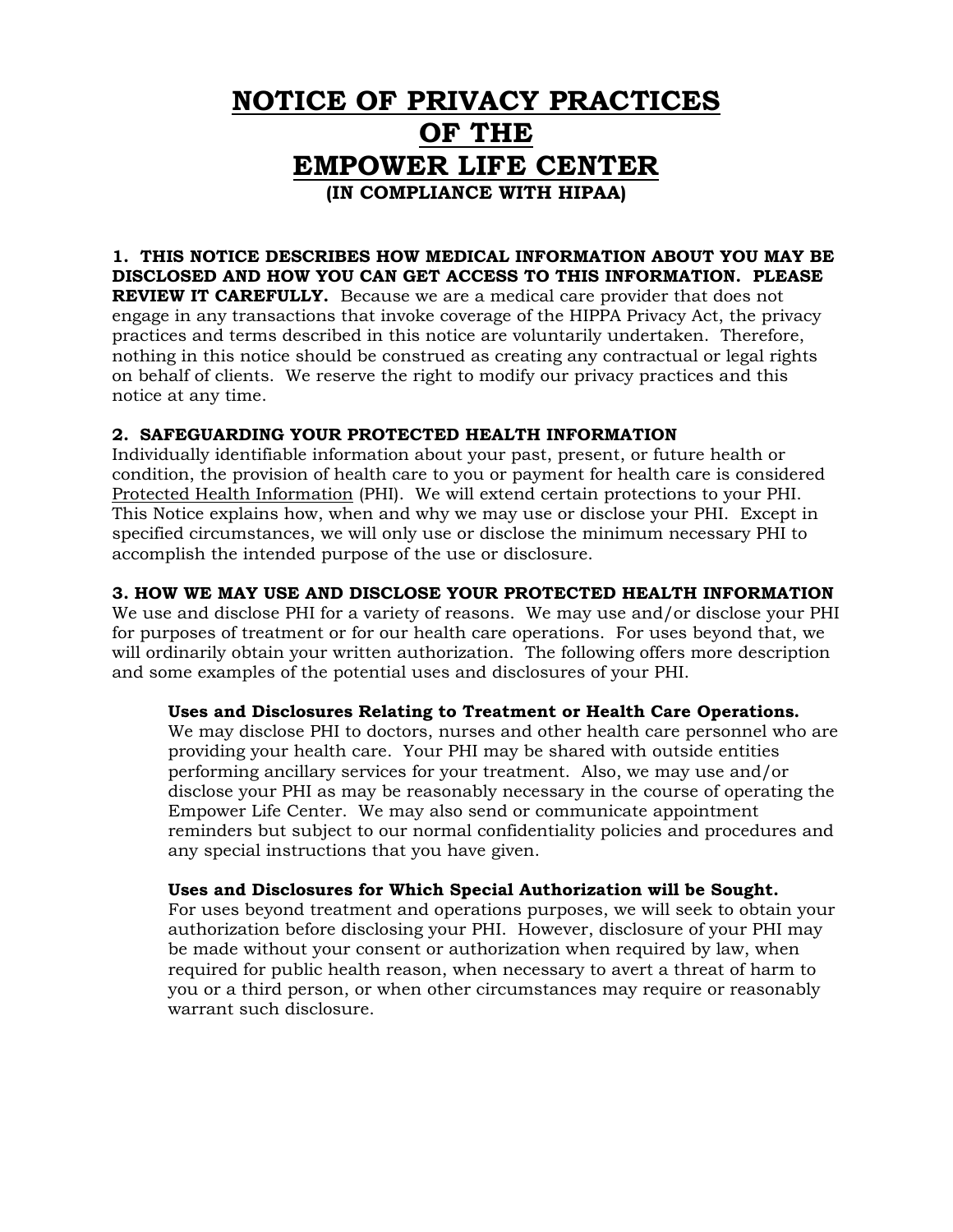# **NOTICE OF PRIVACY PRACTICES OF THE EMPOWER LIFE CENTER (IN COMPLIANCE WITH HIPAA)**

## **1. THIS NOTICE DESCRIBES HOW MEDICAL INFORMATION ABOUT YOU MAY BE DISCLOSED AND HOW YOU CAN GET ACCESS TO THIS INFORMATION. PLEASE**

**REVIEW IT CAREFULLY.** Because we are a medical care provider that does not engage in any transactions that invoke coverage of the HIPPA Privacy Act, the privacy practices and terms described in this notice are voluntarily undertaken. Therefore, nothing in this notice should be construed as creating any contractual or legal rights on behalf of clients. We reserve the right to modify our privacy practices and this notice at any time.

## **2. SAFEGUARDING YOUR PROTECTED HEALTH INFORMATION**

Individually identifiable information about your past, present, or future health or condition, the provision of health care to you or payment for health care is considered Protected Health Information (PHI). We will extend certain protections to your PHI. This Notice explains how, when and why we may use or disclose your PHI. Except in specified circumstances, we will only use or disclose the minimum necessary PHI to accomplish the intended purpose of the use or disclosure.

## **3. HOW WE MAY USE AND DISCLOSE YOUR PROTECTED HEALTH INFORMATION**

We use and disclose PHI for a variety of reasons. We may use and/or disclose your PHI for purposes of treatment or for our health care operations. For uses beyond that, we will ordinarily obtain your written authorization. The following offers more description and some examples of the potential uses and disclosures of your PHI.

### **Uses and Disclosures Relating to Treatment or Health Care Operations.**

We may disclose PHI to doctors, nurses and other health care personnel who are providing your health care. Your PHI may be shared with outside entities performing ancillary services for your treatment. Also, we may use and/or disclose your PHI as may be reasonably necessary in the course of operating the Empower Life Center. We may also send or communicate appointment reminders but subject to our normal confidentiality policies and procedures and any special instructions that you have given.

### **Uses and Disclosures for Which Special Authorization will be Sought.**

For uses beyond treatment and operations purposes, we will seek to obtain your authorization before disclosing your PHI. However, disclosure of your PHI may be made without your consent or authorization when required by law, when required for public health reason, when necessary to avert a threat of harm to you or a third person, or when other circumstances may require or reasonably warrant such disclosure.